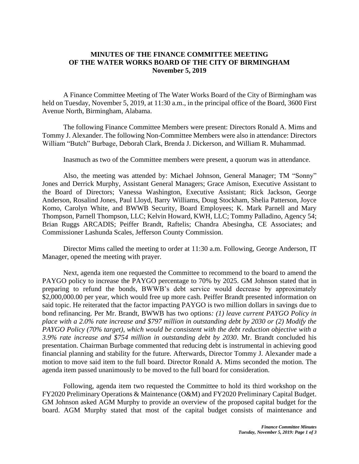## **MINUTES OF THE FINANCE COMMITTEE MEETING OF THE WATER WORKS BOARD OF THE CITY OF BIRMINGHAM November 5, 2019**

A Finance Committee Meeting of The Water Works Board of the City of Birmingham was held on Tuesday, November 5, 2019, at 11:30 a.m., in the principal office of the Board, 3600 First Avenue North, Birmingham, Alabama.

The following Finance Committee Members were present: Directors Ronald A. Mims and Tommy J. Alexander. The following Non-Committee Members were also in attendance: Directors William "Butch" Burbage, Deborah Clark, Brenda J. Dickerson, and William R. Muhammad.

Inasmuch as two of the Committee members were present, a quorum was in attendance.

Also, the meeting was attended by: Michael Johnson, General Manager; TM "Sonny" Jones and Derrick Murphy, Assistant General Managers; Grace Amison, Executive Assistant to the Board of Directors; Vanessa Washington, Executive Assistant; Rick Jackson, George Anderson, Rosalind Jones, Paul Lloyd, Barry Williams, Doug Stockham, Shelia Patterson, Joyce Komo, Carolyn White, and BWWB Security, Board Employees; K. Mark Parnell and Mary Thompson, Parnell Thompson, LLC; Kelvin Howard, KWH, LLC; Tommy Palladino, Agency 54; Brian Ruggs ARCADIS; Peiffer Brandt, Raftelis; Chandra Abesingha, CE Associates; and Commissioner Lashunda Scales, Jefferson County Commission.

Director Mims called the meeting to order at 11:30 a.m. Following, George Anderson, IT Manager, opened the meeting with prayer.

Next, agenda item one requested the Committee to recommend to the board to amend the PAYGO policy to increase the PAYGO percentage to 70% by 2025. GM Johnson stated that in preparing to refund the bonds, BWWB's debt service would decrease by approximately \$2,000,000.00 per year, which would free up more cash. Peiffer Brandt presented information on said topic. He reiterated that the factor impacting PAYGO is two million dollars in savings due to bond refinancing. Per Mr. Brandt, BWWB has two options*: (1) leave current PAYGO Policy in place with a 2.0% rate increase and \$797 million in outstanding debt by 2030 or (2) Modify the PAYGO Policy (70% target), which would be consistent with the debt reduction objective with a 3.9% rate increase and \$754 million in outstanding debt by 2030*. Mr. Brandt concluded his presentation. Chairman Burbage commented that reducing debt is instrumental in achieving good financial planning and stability for the future. Afterwards, Director Tommy J. Alexander made a motion to move said item to the full board. Director Ronald A. Mims seconded the motion. The agenda item passed unanimously to be moved to the full board for consideration.

Following, agenda item two requested the Committee to hold its third workshop on the FY2020 Preliminary Operations & Maintenance (O&M) and FY2020 Preliminary Capital Budget. GM Johnson asked AGM Murphy to provide an overview of the proposed capital budget for the board. AGM Murphy stated that most of the capital budget consists of maintenance and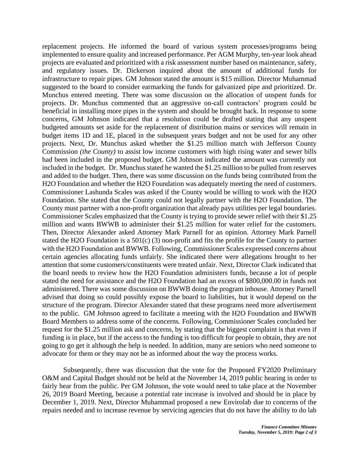replacement projects. He informed the board of various system processes/programs being implemented to ensure quality and increased performance. Per AGM Murphy, ten-year look ahead projects are evaluated and prioritized with a risk assessment number based on maintenance, safety, and regulatory issues. Dr. Dickerson inquired about the amount of additional funds for infrastructure to repair pipes. GM Johnson stated the amount is \$15 million. Director Muhammad suggested to the board to consider earmarking the funds for galvanized pipe and prioritized. Dr. Munchus entered meeting. There was some discussion on the allocation of unspent funds for projects. Dr. Munchus commented that an aggressive on-call contractors' program could be beneficial in installing more pipes in the system and should be brought back. In response to some concerns, GM Johnson indicated that a resolution could be drafted stating that any unspent budgeted amounts set aside for the replacement of distribution mains or services will remain in budget items 1D and 1E, placed in the subsequent years budget and not be used for any other projects. Next, Dr. Munchus asked whether the \$1.25 million match with Jefferson County Commission *(the County)* to assist low income customers with high rising water and sewer bills had been included in the proposed budget. GM Johnson indicated the amount was currently not included in the budget. Dr. Munchus stated he wanted the \$1.25 million to be pulled from reserves and added to the budget. Then, there was some discussion on the funds being contributed from the H2O Foundation and whether the H2O Foundation was adequately meeting the need of customers. Commissioner Lashunda Scales was asked if the County would be willing to work with the H2O Foundation. She stated that the County could not legally partner with the H2O Foundation. The County must partner with a non-profit organization that already pays utilities per legal boundaries. Commissioner Scales emphasized that the County is trying to provide sewer relief with their \$1.25 million and wants BWWB to administer their \$1.25 million for water relief for the customers. Then, Director Alexander asked Attorney Mark Parnell for an opinion. Attorney Mark Parnell stated the H2O Foundation is a 501(c) (3) non-profit and fits the profile for the County to partner with the H2O Foundation and BWWB. Following, Commissioner Scales expressed concerns about certain agencies allocating funds unfairly. She indicated there were allegations brought to her attention that some customers/constituents were treated unfair. Next, Director Clark indicated that the board needs to review how the H2O Foundation administers funds, because a lot of people stated the need for assistance and the H2O Foundation had an excess of \$800,000.00 in funds not administered. There was some discussion on BWWB doing the program inhouse. Attorney Parnell advised that doing so could possibly expose the board to liabilities, but it would depend on the structure of the program. Director Alexander stated that these programs need more advertisement to the public. GM Johnson agreed to facilitate a meeting with the H2O Foundation and BWWB Board Members to address some of the concerns. Following, Commissioner Scales concluded her request for the \$1.25 million ask and concerns, by stating that the biggest complaint is that even if funding is in place, but if the access to the funding is too difficult for people to obtain, they are not going to go get it although the help is needed. In addition, many are seniors who need someone to advocate for them or they may not be as informed about the way the process works.

Subsequently, there was discussion that the vote for the Proposed FY2020 Preliminary O&M and Capital Budget should not be held at the November 14, 2019 public hearing in order to fairly hear from the public. Per GM Johnson, the vote would need to take place at the November 26, 2019 Board Meeting, because a potential rate increase is involved and should be in place by December 1, 2019. Next, Director Muhammad proposed a new Envirolab due to concerns of the repairs needed and to increase revenue by servicing agencies that do not have the ability to do lab